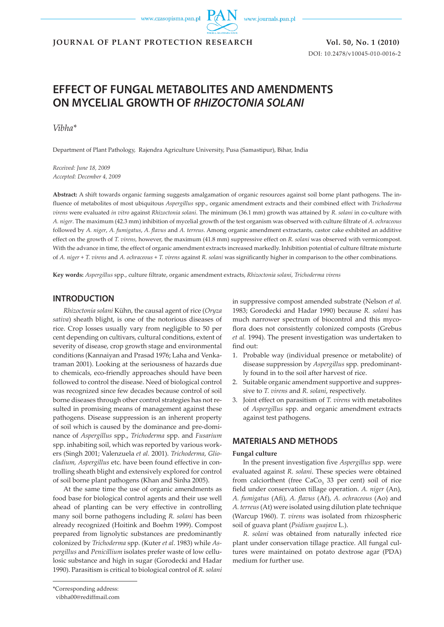www.czasopisma.pan.pl

www.journals.pan.pl

**JOURNAL OF PLANT PROTECTION RESEARCH Vol. 50, No. 1 (2010)**

DOI: 10.2478/v10045-010-0016-2

# **EFFECT OF FUNGAL METABOLITES AND AMENDMENTS ON MYCELIAL GROWTH OF RHIZOCTONIA SOLANI**

*Vibha\**

Department of Plant Pathology, Rajendra Agriculture University, Pusa (Samastipur), Bihar, India

*Received: June 18, 2009 Accepted: December 4, 2009*

**Abstract:** A shift towards organic farming suggests amalgamation of organic resources against soil borne plant pathogens. The influence of metabolites of most ubiquitous *Aspergillus* spp., organic amendment extracts and their combined effect with *Trichoderma virens* were evaluated *in vitro* against *Rhizoctonia solani*. The minimum (36.1 mm) growth was attained by *R. solani* in co-culture with *A. niger*. The maximum (42.3 mm) inhibition of mycelial growth of the test organism was observed with culture filtrate of *A. ochraceous* followed by *A. niger*, *A. fumigatus*, *A. flavus* and *A. terreus*. Among organic amendment extractants, castor cake exhibited an additive effect on the growth of *T. virens,* however, the maximum (41.8 mm) suppressive effect on *R. solani* was observed with vermicompost. With the advance in time, the effect of organic amendment extracts increased markedly. Inhibition potential of culture filtrate mixturte of *A. niger* + *T. virens* and *A. ochraceous* + *T. virens* against *R. solani* was significantly higher in comparison to the other combinations.

**Key words:** *Aspergillus* spp., culture filtrate, organic amendment extracts, *Rhizoctonia solani*, *Trichoderma virens*

#### **INTRODUCTION**

*Rhizoctonia solani* Kühn, the causal agent of rice (*Oryza sativa*) sheath blight, is one of the notorious diseases of rice. Crop losses usually vary from negligible to 50 per cent depending on cultivars, cultural conditions, extent of severity of disease, crop growth stage and environmental conditions (Kannaiyan and Prasad 1976; Laha and Venkatraman 2001). Looking at the seriousness of hazards due to chemicals, eco-friendly approaches should have been followed to control the disease. Need of biological control was recognized since few decades because control of soil borne diseases through other control strategies has not resulted in promising means of management against these pathogens. Disease suppression is an inherent property of soil which is caused by the dominance and pre-dominance of *Aspergillus* spp., *Trichoderma* spp. and *Fusarium* spp. inhabiting soil, which was reported by various workers (Singh 2001; Valenzuela *et al.* 2001). *Trichoderma*, *Gliocladium, Aspergillus* etc. have been found effective in controlling sheath blight and extensively explored for control of soil borne plant pathogens (Khan and Sinha 2005).

At the same time the use of organic amendments as food base for biological control agents and their use well ahead of planting can be very effective in controlling many soil borne pathogens including *R. solani* has been already recognized (Hoitink and Boehm 1999). Compost prepared from lignolytic substances are predominantly colonized by *Trichoderma* spp. (Kuter *et al*. 1983) while *Aspergillus* and *Penicillium* isolates prefer waste of low cellulosic substance and high in sugar (Gorodecki and Hadar 1990). Parasitism is critical to biological control of *R. solani*

in suppressive compost amended substrate (Nelson *et al.* 1983; Gorodecki and Hadar 1990) because *R. solani* has much narrower spectrum of biocontrol and this mycoflora does not consistently colonized composts (Grebus *et al.* 1994). The present investigation was undertaken to find out:

- 1. Probable way (individual presence or metabolite) of disease suppression by *Aspergillus* spp. predominantly found in to the soil after harvest of rice.
- 2. Suitable organic amendment supportive and suppressive to *T. virens* and *R. solani*, respectively.
- 3. Joint effect on parasitism of *T. virens* with metabolites of *Aspergillus* spp. and organic amendment extracts against test pathogens.

#### **MATERIALS AND METHODS**

#### **Fungal culture**

In the present investigation five *Aspergillus* spp. were evaluated against *R. solani*. These species were obtained from calciorthent (free  $CaCo<sub>3</sub>$  33 per cent) soil of rice field under conservation tillage operation. *A. niger* (An), *A. fumigatus* (Afi), *A. flavus* (Af), *A. ochraceous* (Ao) and *A. terreus* (At) were isolated using dilution plate technique (Warcup 1960). *T. virens* was isolated from rhizospheric soil of guava plant (*Psidium guajava* L.).

*R. solani* was obtained from naturally infected rice plant under conservation tillage practice. All fungal cultures were maintained on potato dextrose agar (PDA) medium for further use.

<sup>\*</sup>Corresponding address:

vibha00@rediffmail.com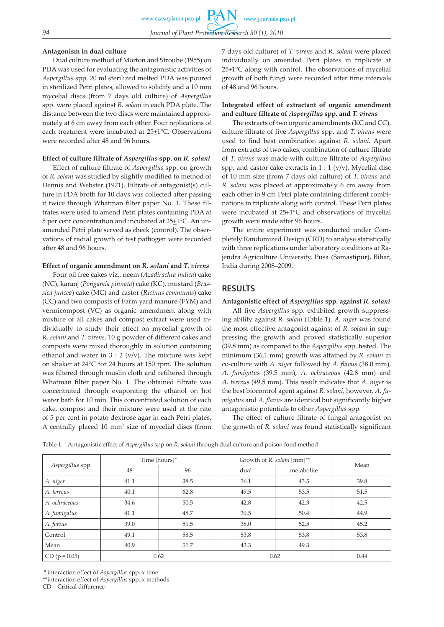## **Antagonism in dual culture**

Dual culture method of Morton and Stroube (1955) on PDA was used for evaluating the antagonistic activities of *Aspergillus* spp. 20 ml sterilized melted PDA was poured in sterilized Petri plates, allowed to solidify and a 10 mm mycelial discs (from 7 days old culture) of *Aspergillus* spp. were placed against *R. solani* in each PDA plate. The distance between the two discs were maintained approximately at 6 cm away from each other. Four replications of each treatment were incubated at 25+1°C. Observations were recorded after 48 and 96 hours.

## **Effect of culture filtrate of** *Aspergillus* **spp. on** *R. solani*

Effect of culture filtrate of *Aspergillus* spp. on growth of *R. solani* was studied by slightly modified to method of Dennis and Webster (1971). Filtrate of antagonist(s) culture in PDA broth for 10 days was collected after passing it twice through Whatman filter paper No. 1. These filtrates were used to amend Petri plates containing PDA at 5 per cent concentration and incubated at  $25\pm1^{\circ}$ C. An unamended Petri plate served as check (control). The observations of radial growth of test pathogen were recorded after 48 and 96 hours.

## **Effect of organic amendment on** *R. solani* **and** *T. virens*

Four oil free cakes viz., neem (*Azadirachta indica*) cake (NC), karanj (*Pongamia pinnata*) cake (KC), mustard (*Brassica juncea*) cake (MC) and castor (*Ricinus communis*) cake (CC) and two composts of Farm yard manure (FYM) and vermicompost (VC) as organic amendment along with mixture of all cakes and compost extract were used individually to study their effect on mycelial growth of *R. solani* and *T. virens*. 10 g powder of different cakes and composts were mixed thoroughly in solution containing ethanol and water in  $3:2$  (v/v). The mixture was kept on shaker at 24°C for 24 hours at 150 rpm. The solution was filtered through muslin cloth and refiltered through Whatman filter paper No. 1. The obtained filtrate was concentrated through evaporating the ethanol on hot water bath for 10 min. This concentrated solution of each cake, compost and their mixture were used at the rate of 5 per cent in potato dextrose agar in each Petri plates. A centrally placed 10 mm<sup>2</sup> size of mycelial discs (from 7 days old culture) of *T. virens* and *R. solani* were placed individually on amended Petri plates in triplicate at  $25 \pm 1$ °C along with control. The observations of mycelial growth of both fungi were recorded after time intervals of 48 and 96 hours.

#### **Integrated effect of extractant of organic amendment and culture filtrate of** *Aspergillus* **spp. and** *T. virens*

The extracts of two organic amendments (KC and CC), culture filtrate of five *Aspergillus* spp. and *T. virens* were used to find best combination against *R. solani*. Apart from extracts of two cakes, combination of culture filtrate of *T. virens* was made with culture filtrate of *Aspergillus* spp. and castor cake extracts in  $1:1$  (v/v). Mycelial disc of 10 mm size (from 7 days old culture) of *T. virens* and *R. solani* was placed at approximately 6 cm away from each other in 9 cm Petri plate containing different combinations in triplicate along with control. These Petri plates were incubated at  $25\pm1$ °C and observations of mycelial growth were made after 96 hours.

The entire experiment was conducted under Completely Randomized Design (CRD) to analyse statistically with three replications under laboratory conditions at Rajendra Agriculture University, Pusa (Samastipur), Bihar, India during 2008–2009.

## **RESULTS**

#### **Antagonistic effect of** *Aspergillus* **spp. against** *R. solani*

All five *Aspergillus* spp. exhibited growth suppressing ability against *R. solani* (Table 1). *A. niger* was found the most effective antagonist against of *R. solani* in suppressing the growth and proved statistically superior (39.8 mm) as compared to the *Aspergillus* spp. tested. The minimum (36.1 mm) growth was attained by *R. solani* in co-culture with *A. niger* followed by *A. flavus* (38.0 mm), *A. fumigatus* (39.5 mm), *A. ochraceous* (42.8 mm) and *A. terreus* (49.5 mm). This result indicates that *A. niger* is the best biocontrol agent against *R. solani,* however, *A. fumigatus* and *A. flavus* are identical but significantly higher antagonistic potentials to other *Aspergillus* spp.

The effect of culture filtrate of fungal antagonist on the growth of *R. solani* was found statistically significant

Table 1. Antagonistic effect of *Aspergillus* spp on *R. solani* through dual culture and poison food method

| Aspergillus spp. | Time [hours]* |      | Growth of R. solani [mm]** |            |      |
|------------------|---------------|------|----------------------------|------------|------|
|                  | 48            | 96   | dual                       | metabolite | Mean |
| A. niger         | 41.1          | 38.5 | 36.1                       | 43.5       | 39.8 |
| A. terreus       | 40.1          | 62.8 | 49.5                       | 53.5       | 51.5 |
| A. ochraceous    | 34.6          | 50.5 | 42.8                       | 42.3       | 42.5 |
| A. fumigatus     | 41.1          | 48.7 | 39.5                       | 50.4       | 44.9 |
| A. flavus        | 39.0          | 51.5 | 38.0                       | 52.5       | 45.2 |
| Control          | 49.1          | 58.5 | 53.8                       | 53.8       | 53.8 |
| Mean             | 40.9          | 51.7 | 43.3                       | 49.3       |      |
| $CD (p = 0.05)$  | 0.62          |      | 0.62                       |            | 0.44 |

\* interaction effect of *Aspergillus* spp. x time

\*\* interaction effect of *Aspergillus* spp. x methods

CD – Critical difference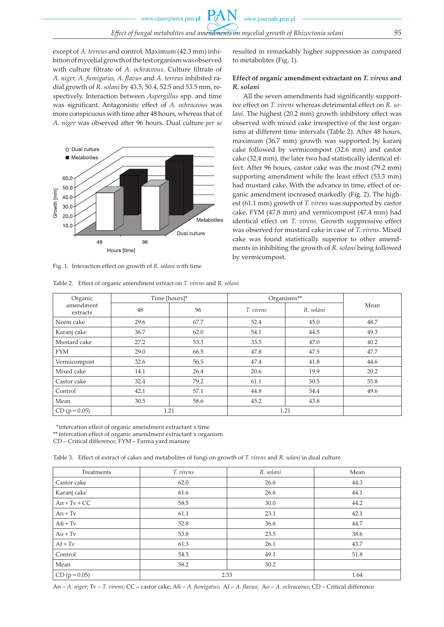except of *A. terreus* and control. Maximum (42.3 mm) inhibition of mycelial growth of the test organism was observed with culture filtrate of *A. ochraceous*. Culture filtrate of *A. niger, A. fumigatus, A. flavus* and *A. terreus* inhibited radial growth of *R. solani* by 43.5, 50.4, 52.5 and 53.5 mm, respectively. Interaction between *Aspergillus* spp. and time was significant. Antagonistic effect of *A. ochraceous* was more conspicuous with time after 48 hours, whereas that of *A. niger* was observed after 96 hours. Dual culture *per se* 



Fig. 1. Interaction effect on growth of *R. solani* with time

Table 2. Effect of organic amendment extract on *T. virens* and *R. solani*

#### resulted in remarkably higher suppression as compared to metabolites (Fig. 1).

#### **Effect of organic amendment extractant on** *T. virens* **and**  *R. solani*

All the seven amendments had significantly supportive effect on *T. virens* whereas detrimental effect on *R. solani*. The highest (20.2 mm) growth inhibitory effect was observed with mixed cake irrespective of the test organisms at different time intervals (Table 2). After 48 hours, maximum (36.7 mm) growth was supported by karanj cake followed by vermicompost (32.6 mm) and castor cake (32.4 mm), the later two had statistically identical effect. After 96 hours, castor cake was the most (79.2 mm) supporting amendment while the least effect (53.3 mm) had mustard cake. With the advance in time, effect of organic amendment increased markedly (Fig. 2). The highest (61.1 mm) growth of *T. virens* was supported by castor cake. FYM (47.8 mm) and vermicompost (47.4 mm) had identical effect on *T. virens*. Growth suppressive effect was observed for mustard cake in case of *T. virens*. Mixed cake was found statistically superior to other amendments in inhibiting the growth of *R. solani* being followed by vermicompost.

| Organic<br>amendment<br>extracts | Time [hours]* |      | Organisms** |           |      |
|----------------------------------|---------------|------|-------------|-----------|------|
|                                  | 48            | 96   | T. virens   | R. solani | Mean |
| Neem cake                        | 29.6          | 67.7 | 52.4        | 45.0      | 48.7 |
| Karanj cake                      | 36.7          | 62.0 | 54.1        | 44.5      | 49.3 |
| Mustard cake                     | 27.2          | 53.3 | 33.5        | 47.0      | 40.2 |
| <b>FYM</b>                       | 29.0          | 66.5 | 47.8        | 47.5      | 47.7 |
| Vermicompost                     | 32.6          | 56.5 | 47.4        | 41.8      | 44.6 |
| Mixed cake                       | 14.1          | 26.4 | 20.6        | 19.9      | 20.2 |
| Castor cake                      | 32.4          | 79.2 | 61.1        | 50.5      | 55.8 |
| Control                          | 42.1          | 57.1 | 44.8        | 54.4      | 49.6 |
| Mean                             | 30.5          | 58.6 | 45.2        | 43.8      |      |
| $CD (p = 0.05)$                  | 1.21          |      |             | 1.21      |      |

\* intercation effect of organic amendment extractant x time

\*\* intercation effect of organic amendment extractant x organism

CD – Critical difference; FYM – Farma yard manure

Table 3. Effect of extract of cakes and metabolites of fungi on growth of *T. virens* and *R. solani* in dual culture

| Treatments      | T. virens | R. solani | Mean |
|-----------------|-----------|-----------|------|
| Castor cake     | 62.0      | 26.6      | 44.3 |
| Karanj cake     | 61.6      | 26.6      | 44.1 |
| $An + Tv + CC$  | 58.5      | 30.0      | 44.2 |
| $An + Tv$       | 61.1      | 23.1      | 42.1 |
| $Afi + Tv$      | 52.8      | 36.6      | 44.7 |
| $Ao + Tv$       | 53.8      | 23.5      | 38.6 |
| $Af + Tv$       | 61.3      | 26.1      | 43.7 |
| Control         | 54.5      | 49.1      | 51.8 |
| Mean            | 58.2      | 30.2      |      |
| $CD (p = 0.05)$ | 2.33      | 1.64      |      |

An – *A. niger*; Tv – *T. virens*; CC – castor cake; Afi – *A. fumigatus*; Af – *A. flavus*; Ao – *A. ochraceous*; CD – Critical difference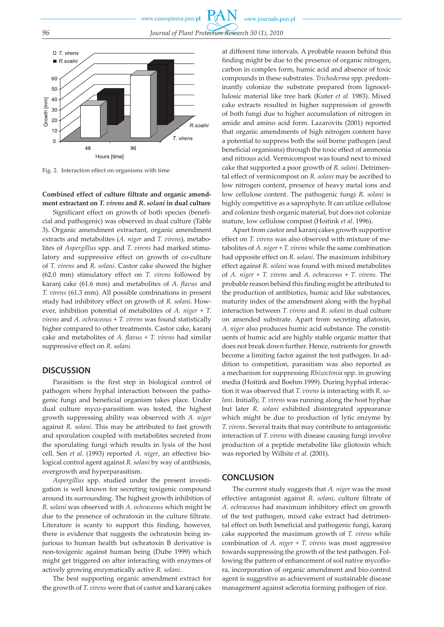

Fig. 2. Interaction effect on organisms with time

**Combined effect of culture filtrate and organic amendment extractant on** *T. virens* **and** *R. solani* **in dual culture** 

Significant effect on growth of both species (beneficial and pathogenic) was observed in dual culture (Table 3). Organic amendment extractant, organic amendment extracts and metabolites (*A. niger* and *T. virens*), metabolites of *Aspergillus* spp. and *T. virens* had marked stimulatory and suppressive effect on growth of co-culture of *T. virens* and *R. solani*. Castor cake showed the higher (62.0 mm) stimulatory effect on *T. virens* followed by karanj cake (61.6 mm) and metabolites of *A. flavus* and *T. virens* (61.3 mm). All possible combinations in present study had inhibitory effect on growth of *R. solani*. However, inhibition potential of metabolites of *A. niger* + *T. virens* and *A. ochraceous* + *T. virens* was found statistically higher compared to other treatments. Castor cake, karanj cake and metabolites of *A. flavus* + *T. virens* had similar suppressive effect on *R. solani.*

#### **DISCUSSION**

Parasitism is the first step in biological control of pathogen where hyphal interaction between the pathogenic fungi and beneficial organism takes place. Under dual culture myco-parasitism was tested, the highest growth suppressing ability was observed with *A. niger* against *R. solani*. This may be attributed to fast growth and sporulation coupled with metabolites secreted from the sporulating fungi which results in lysis of the host cell. Sen *et al*. (1993) reported *A. niger*, an effective biological control agent against *R. solani* by way of antibiosis, overgrowth and hyperparasitism.

*Aspergillus* spp. studied under the present investigation is well known for secreting toxigenic compound around its surrounding. The highest growth inhibition of *R. solani* was observed with *A. ochraceous* which might be due to the presence of ochratoxin in the culture filtrate. Literature is scanty to support this finding, however, there is evidence that suggests the ochratoxin being injurious to human health but ochratoxin B derivative is non-toxigenic against human being (Dube 1999) which might get triggered on after interacting with enzymes of actively growing enzymatically active *R. solani*.

The best supporting organic amendment extract for the growth of *T. virens* were that of castor and karanj cakes at different time intervals. A probable reason behind this finding might be due to the presence of organic nitrogen, carbon in complex form, humic acid and absence of toxic compounds in these substrates. *Trichoderma* spp. predominantly colonize the substrate prepared from lignocellulosic material like tree bark (Kuter *et al.* 1983). Mixed cake extracts resulted in higher suppression of growth of both fungi due to higher accumulation of nitrogen in amide and amino acid form. Lazarovits (2001) reported that organic amendments of high nitrogen content have a potential to suppress both the soil borne pathogen (and beneficial organisms) through the toxic effect of ammonia and nitrous acid. Vermicompost was found next to mixed cake that supported a poor growth of *R. solani*. Detrimental effect of vermicompost on *R. solani* may be ascribed to low nitrogen content, presence of heavy metal ions and low cellulose content. The pathogenic fungi *R. solani* is highly competitive as a saprophyte. It can utilize cellulose and colonize fresh organic material, but does not colonize mature, low cellulose compost (Hoitink *et al*. 1996).

Apart from castor and karanj cakes growth supportive effect on *T. virens* was also observed with mixture of metabolites of *A. niger* + *T. virens* while the same combination had opposite effect on *R. solani*. The maximum inhibitory effect against *R. solani* was found with mixed metabolites of *A. niger* + *T. virens* and *A. ochraceous* + *T. virens.* The probable reason behind this finding might be attributed to the production of antibiotics, humic acid like substances, maturity index of the amendment along with the hyphal interaction between *T. virens* and *R. solani* in dual culture on amended substrate. Apart from secreting aflatoxin, *A. niger* also produces humic acid substance. The constituents of humic acid are highly stable organic matter that does not break down further. Hence, nutrients for growth become a limiting factor against the test pathogen. In addition to competition, parasitism was also reported as a mechanism for suppressing *Rhizoctonia* spp. in growing media (Hoitink and Boehm 1999). During hyphal interaction it was observed that *T. virens* is interacting with *R. solani*. Initially, *T. virens* was running along the host hyphae but later *R. solani* exhibited disintegrated appearance which might be due to production of lytic enzyme by *T. virens*. Several traits that may contribute to antagonistic interaction of *T. virens* with disease causing fungi involve production of a peptide metabolite like gliotoxin which was reported by Wilhite *et al.* (2001).

#### **CONCLUSION**

The current study suggests that *A. niger* was the most effective antagonist against *R. solani*, culture filtrate of *A. ochraceous* had maximum inhibitory effect on growth of the test pathogen, mixed cake extract had detrimental effect on both beneficial and pathogenic fungi, karanj cake supported the maximum growth of *T. virens* while combination of *A. niger + T. virens* was most aggressive towards suppressing the growth of the test pathogen. Following the pattern of enhancement of soil native mycoflora, incorporation of organic amendment and bio-control agent is suggestive as achievement of sustainable disease management against sclerotia forming pathogen of rice.